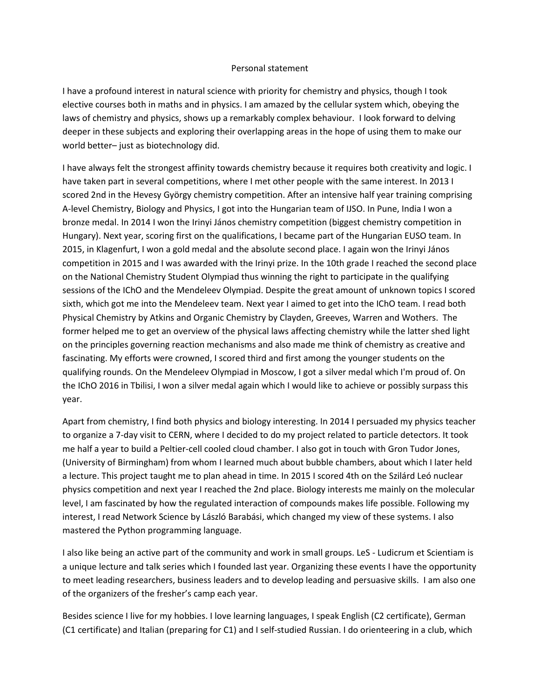## Personal statement

I have a profound interest in natural science with priority for chemistry and physics, though I took elective courses both in maths and in physics. I am amazed by the cellular system which, obeying the laws of chemistry and physics, shows up a remarkably complex behaviour. I look forward to delving deeper in these subjects and exploring their overlapping areas in the hope of using them to make our world better– just as biotechnology did.

I have always felt the strongest affinity towards chemistry because it requires both creativity and logic. I have taken part in several competitions, where I met other people with the same interest. In 2013 I scored 2nd in the Hevesy György chemistry competition. After an intensive half year training comprising A-level Chemistry, Biology and Physics, I got into the Hungarian team of IJSO. In Pune, India I won a bronze medal. In 2014 I won the Irinyi János chemistry competition (biggest chemistry competition in Hungary). Next year, scoring first on the qualifications, I became part of the Hungarian EUSO team. In 2015, in Klagenfurt, I won a gold medal and the absolute second place. I again won the Irinyi János competition in 2015 and I was awarded with the Irinyi prize. In the 10th grade I reached the second place on the National Chemistry Student Olympiad thus winning the right to participate in the qualifying sessions of the IChO and the Mendeleev Olympiad. Despite the great amount of unknown topics I scored sixth, which got me into the Mendeleev team. Next year I aimed to get into the IChO team. I read both Physical Chemistry by Atkins and Organic Chemistry by Clayden, Greeves, Warren and Wothers. The former helped me to get an overview of the physical laws affecting chemistry while the latter shed light on the principles governing reaction mechanisms and also made me think of chemistry as creative and fascinating. My efforts were crowned, I scored third and first among the younger students on the qualifying rounds. On the Mendeleev Olympiad in Moscow, I got a silver medal which I'm proud of. On the IChO 2016 in Tbilisi, I won a silver medal again which I would like to achieve or possibly surpass this year.

Apart from chemistry, I find both physics and biology interesting. In 2014 I persuaded my physics teacher to organize a 7-day visit to CERN, where I decided to do my project related to particle detectors. It took me half a year to build a Peltier-cell cooled cloud chamber. I also got in touch with Gron Tudor Jones, (University of Birmingham) from whom I learned much about bubble chambers, about which I later held a lecture. This project taught me to plan ahead in time. In 2015 I scored 4th on the Szilárd Leó nuclear physics competition and next year I reached the 2nd place. Biology interests me mainly on the molecular level, I am fascinated by how the regulated interaction of compounds makes life possible. Following my interest, I read Network Science by László Barabási, which changed my view of these systems. I also mastered the Python programming language.

I also like being an active part of the community and work in small groups. LeS - Ludicrum et Scientiam is a unique lecture and talk series which I founded last year. Organizing these events I have the opportunity to meet leading researchers, business leaders and to develop leading and persuasive skills. I am also one of the organizers of the fresher's camp each year.

Besides science I live for my hobbies. I love learning languages, I speak English (C2 certificate), German (C1 certificate) and Italian (preparing for C1) and I self-studied Russian. I do orienteering in a club, which